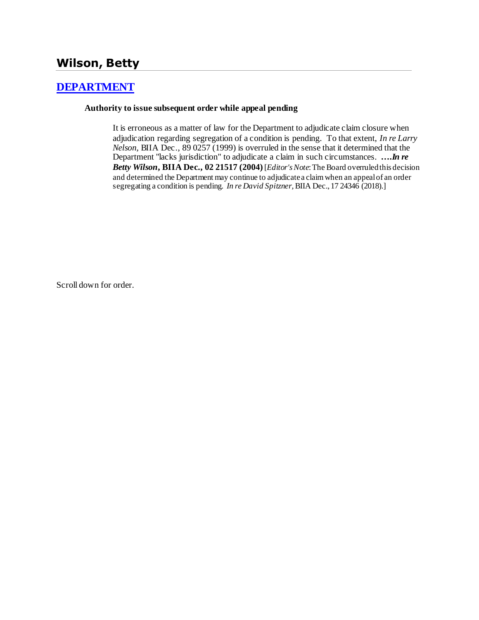# **Wilson, Betty**

### **[DEPARTMENT](http://www.biia.wa.gov/SDSubjectIndex.html#DEPARTMENT)**

#### **Authority to issue subsequent order while appeal pending**

It is erroneous as a matter of law for the Department to adjudicate claim closure when adjudication regarding segregation of a condition is pending. To that extent, *In re Larry Nelson,* BIIA Dec., 89 0257 (1999) is overruled in the sense that it determined that the Department "lacks jurisdiction" to adjudicate a claim in such circumstances. **….***In re Betty Wilson***, BIIA Dec., 02 21517 (2004)** [*Editor's Note*: The Board overruled this decision and determined the Department may continue to adjudicate a claim when an appeal of an order segregating a condition is pending. *In re David Spitzner,* BIIA Dec., 17 24346 (2018).]

Scroll down for order.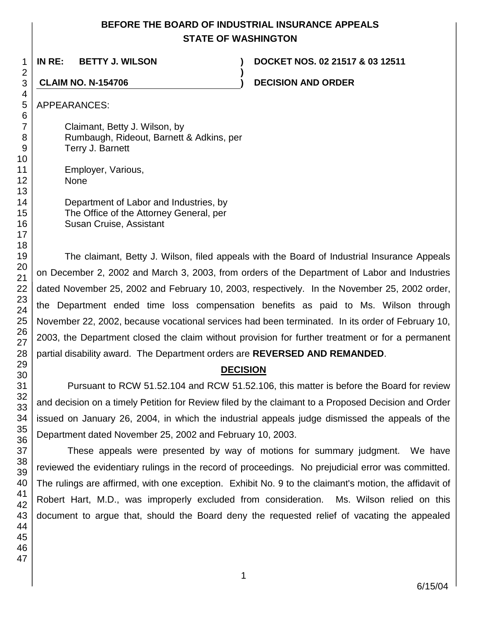# **BEFORE THE BOARD OF INDUSTRIAL INSURANCE APPEALS STATE OF WASHINGTON**

**)**

**IN RE: BETTY J. WILSON ) DOCKET NOS. 02 21517 & 03 12511**

**CLAIM NO. N-154706 ) DECISION AND ORDER**

APPEARANCES:

Claimant, Betty J. Wilson, by Rumbaugh, Rideout, Barnett & Adkins, per Terry J. Barnett

Employer, Various, None

> Department of Labor and Industries, by The Office of the Attorney General, per Susan Cruise, Assistant

The claimant, Betty J. Wilson, filed appeals with the Board of Industrial Insurance Appeals on December 2, 2002 and March 3, 2003, from orders of the Department of Labor and Industries dated November 25, 2002 and February 10, 2003, respectively. In the November 25, 2002 order, the Department ended time loss compensation benefits as paid to Ms. Wilson through November 22, 2002, because vocational services had been terminated. In its order of February 10, 2003, the Department closed the claim without provision for further treatment or for a permanent partial disability award. The Department orders are **REVERSED AND REMANDED**.

# **DECISION**

Pursuant to RCW 51.52.104 and RCW 51.52.106, this matter is before the Board for review and decision on a timely Petition for Review filed by the claimant to a Proposed Decision and Order issued on January 26, 2004, in which the industrial appeals judge dismissed the appeals of the Department dated November 25, 2002 and February 10, 2003.

These appeals were presented by way of motions for summary judgment. We have reviewed the evidentiary rulings in the record of proceedings. No prejudicial error was committed. The rulings are affirmed, with one exception. Exhibit No. 9 to the claimant's motion, the affidavit of Robert Hart, M.D., was improperly excluded from consideration. Ms. Wilson relied on this document to argue that, should the Board deny the requested relief of vacating the appealed

1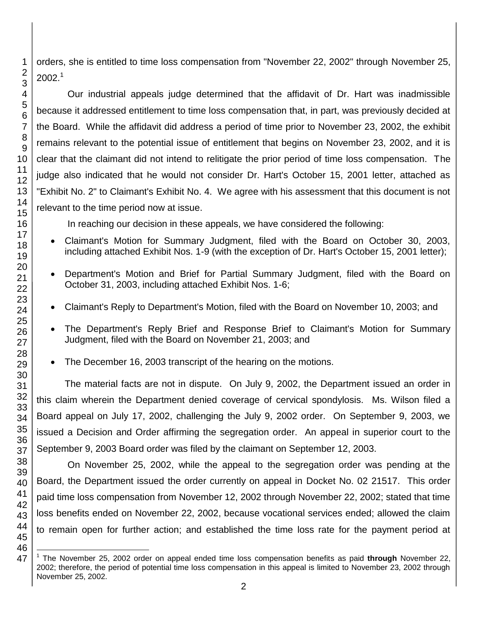orders, she is entitled to time loss compensation from "November 22, 2002" through November 25,  $2002.<sup>1</sup>$ 

Our industrial appeals judge determined that the affidavit of Dr. Hart was inadmissible because it addressed entitlement to time loss compensation that, in part, was previously decided at the Board. While the affidavit did address a period of time prior to November 23, 2002, the exhibit remains relevant to the potential issue of entitlement that begins on November 23, 2002, and it is clear that the claimant did not intend to relitigate the prior period of time loss compensation. The judge also indicated that he would not consider Dr. Hart's October 15, 2001 letter, attached as "Exhibit No. 2" to Claimant's Exhibit No. 4. We agree with his assessment that this document is not relevant to the time period now at issue.

In reaching our decision in these appeals, we have considered the following:

- Claimant's Motion for Summary Judgment, filed with the Board on October 30, 2003, including attached Exhibit Nos. 1-9 (with the exception of Dr. Hart's October 15, 2001 letter);
- Department's Motion and Brief for Partial Summary Judgment, filed with the Board on October 31, 2003, including attached Exhibit Nos. 1-6;
- Claimant's Reply to Department's Motion, filed with the Board on November 10, 2003; and
- The Department's Reply Brief and Response Brief to Claimant's Motion for Summary Judgment, filed with the Board on November 21, 2003; and
- The December 16, 2003 transcript of the hearing on the motions.

The material facts are not in dispute. On July 9, 2002, the Department issued an order in this claim wherein the Department denied coverage of cervical spondylosis. Ms. Wilson filed a Board appeal on July 17, 2002, challenging the July 9, 2002 order. On September 9, 2003, we issued a Decision and Order affirming the segregation order. An appeal in superior court to the September 9, 2003 Board order was filed by the claimant on September 12, 2003.

On November 25, 2002, while the appeal to the segregation order was pending at the Board, the Department issued the order currently on appeal in Docket No. 02 21517. This order paid time loss compensation from November 12, 2002 through November 22, 2002; stated that time loss benefits ended on November 22, 2002, because vocational services ended; allowed the claim to remain open for further action; and established the time loss rate for the payment period at

 $\overline{\phantom{a}}$ 1 The November 25, 2002 order on appeal ended time loss compensation benefits as paid **through** November 22, 2002; therefore, the period of potential time loss compensation in this appeal is limited to November 23, 2002 through November 25, 2002.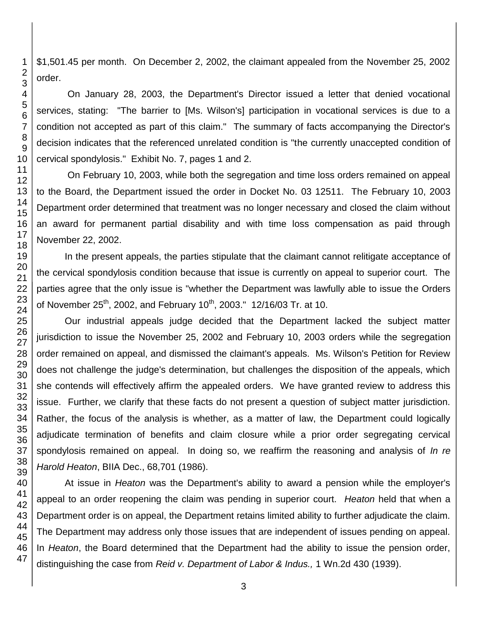\$1,501.45 per month. On December 2, 2002, the claimant appealed from the November 25, 2002 order.

On January 28, 2003, the Department's Director issued a letter that denied vocational services, stating: "The barrier to [Ms. Wilson's] participation in vocational services is due to a condition not accepted as part of this claim." The summary of facts accompanying the Director's decision indicates that the referenced unrelated condition is "the currently unaccepted condition of cervical spondylosis." Exhibit No. 7, pages 1 and 2.

On February 10, 2003, while both the segregation and time loss orders remained on appeal to the Board, the Department issued the order in Docket No. 03 12511. The February 10, 2003 Department order determined that treatment was no longer necessary and closed the claim without an award for permanent partial disability and with time loss compensation as paid through November 22, 2002.

In the present appeals, the parties stipulate that the claimant cannot relitigate acceptance of the cervical spondylosis condition because that issue is currently on appeal to superior court. The parties agree that the only issue is "whether the Department was lawfully able to issue the Orders of November 25<sup>th</sup>, 2002, and February 10<sup>th</sup>, 2003." 12/16/03 Tr. at 10.

Our industrial appeals judge decided that the Department lacked the subject matter jurisdiction to issue the November 25, 2002 and February 10, 2003 orders while the segregation order remained on appeal, and dismissed the claimant's appeals. Ms. Wilson's Petition for Review does not challenge the judge's determination, but challenges the disposition of the appeals, which she contends will effectively affirm the appealed orders. We have granted review to address this issue. Further, we clarify that these facts do not present a question of subject matter jurisdiction. Rather, the focus of the analysis is whether, as a matter of law, the Department could logically adjudicate termination of benefits and claim closure while a prior order segregating cervical spondylosis remained on appeal. In doing so, we reaffirm the reasoning and analysis of *In re Harold Heaton*, BIIA Dec., 68,701 (1986).

At issue in *Heaton* was the Department's ability to award a pension while the employer's appeal to an order reopening the claim was pending in superior court. *Heaton* held that when a Department order is on appeal, the Department retains limited ability to further adjudicate the claim. The Department may address only those issues that are independent of issues pending on appeal. In *Heaton*, the Board determined that the Department had the ability to issue the pension order, distinguishing the case from *[Reid v. Department of Labor & Indus.,](http://www.lexis.com/research/buttonTFLink?_m=112e50181f98b524dee8f228cf673d88&_xfercite=%3ccite%20cc%3d%22USA%22%3e%3c%21%5bCDATA%5b1990%20WA%20Wrk.%20Comp.%20LEXIS%2051%5d%5d%3e%3c%2fcite%3e&_butType=3&_butStat=2&_butNum=1&_butInline=1&_butinfo=%3ccite%20cc%3d%22USA%22%3e%3c%21%5bCDATA%5b1%20Wn.2d%20430%5d%5d%3e%3c%2fcite%3e&_fmtstr=FULL&docnum=4&_startdoc=1&wchp=dGLbVtz-zSkAA&_md5=93149e8aad73a257959122bf253f5c98)* 1 Wn.2d 430 (1939).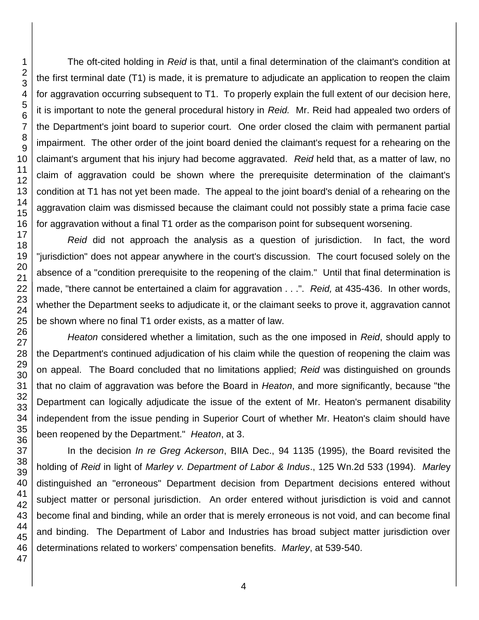The oft-cited holding in *Reid* is that, until a final determination of the claimant's condition at the first terminal date (T1) is made, it is premature to adjudicate an application to reopen the claim for aggravation occurring subsequent to T1. To properly explain the full extent of our decision here, it is important to note the general procedural history in *Reid.* Mr. Reid had appealed two orders of the Department's joint board to superior court. One order closed the claim with permanent partial impairment. The other order of the joint board denied the claimant's request for a rehearing on the claimant's argument that his injury had become aggravated. *Reid* held that, as a matter of law, no claim of aggravation could be shown where the prerequisite determination of the claimant's condition at T1 has not yet been made. The appeal to the joint board's denial of a rehearing on the aggravation claim was dismissed because the claimant could not possibly state a prima facie case for aggravation without a final T1 order as the comparison point for subsequent worsening.

*Reid* did not approach the analysis as a question of jurisdiction. In fact, the word "jurisdiction" does not appear anywhere in the court's discussion. The court focused solely on the absence of a "condition prerequisite to the reopening of the claim." Until that final determination is made, "there cannot be entertained a claim for aggravation . . .". *Reid,* at 435-436. In other words, whether the Department seeks to adjudicate it, or the claimant seeks to prove it, aggravation cannot be shown where no final T1 order exists, as a matter of law.

*Heaton* considered whether a limitation, such as the one imposed in *Reid*, should apply to the Department's continued adjudication of his claim while the question of reopening the claim was on appeal. The Board concluded that no limitations applied; *Reid* was distinguished on grounds that no claim of aggravation was before the Board in *Heaton*, and more significantly, because "the Department can logically adjudicate the issue of the extent of Mr. Heaton's permanent disability independent from the issue pending in Superior Court of whether Mr. Heaton's claim should have been reopened by the Department." *Heaton*, at 3.

In the decision *In re Greg Ackerson*, BIIA Dec., 94 1135 (1995), the Board revisited the holding of *Reid* in light of *Marley v. Department of Labor & Indus*., 125 Wn.2d 533 (1994). *Marle*y distinguished an "erroneous" Department decision from Department decisions entered without subject matter or personal jurisdiction. An order entered without jurisdiction is void and cannot become final and binding, while an order that is merely erroneous is not void, and can become final and binding. The Department of Labor and Industries has broad subject matter jurisdiction over determinations related to workers' compensation benefits. *Marley*, at 539-540.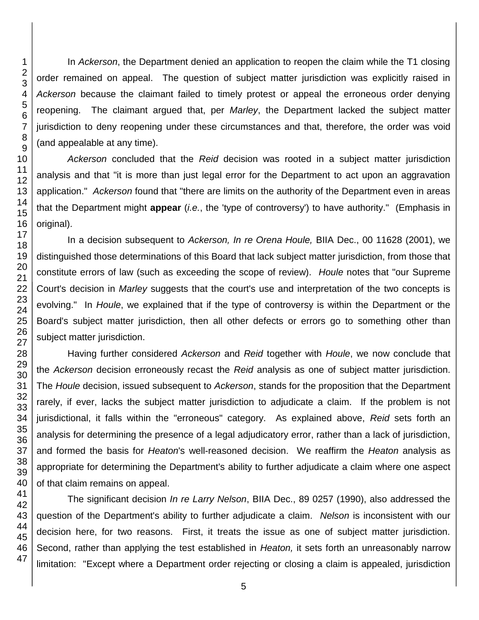In *Ackerson*, the Department denied an application to reopen the claim while the T1 closing order remained on appeal. The question of subject matter jurisdiction was explicitly raised in *Ackerson* because the claimant failed to timely protest or appeal the erroneous order denying reopening. The claimant argued that, per *Marley*, the Department lacked the subject matter jurisdiction to deny reopening under these circumstances and that, therefore, the order was void (and appealable at any time).

*Ackerson* concluded that the *Reid* decision was rooted in a subject matter jurisdiction analysis and that "it is more than just legal error for the Department to act upon an aggravation application." *Ackerson* found that "there are limits on the authority of the Department even in areas that the Department might **appear** (*i.e.*, the 'type of controversy') to have authority." (Emphasis in original).

In a decision subsequent to *Ackerson, In re Orena Houle,* BIIA Dec., 00 11628 (2001), we distinguished those determinations of this Board that lack subject matter jurisdiction, from those that constitute errors of law (such as exceeding the scope of review). *Houle* notes that "our Supreme Court's decision in *Marley* suggests that the court's use and interpretation of the two concepts is evolving." In *Houle*, we explained that if the type of controversy is within the Department or the Board's subject matter jurisdiction, then all other defects or errors go to something other than subject matter jurisdiction.

Having further considered *Ackerson* and *Reid* together with *Houle*, we now conclude that the *Ackerson* decision erroneously recast the *Reid* analysis as one of subject matter jurisdiction. The *Houle* decision, issued subsequent to *Ackerson*, stands for the proposition that the Department rarely, if ever, lacks the subject matter jurisdiction to adjudicate a claim. If the problem is not jurisdictional, it falls within the "erroneous" category. As explained above, *Reid* sets forth an analysis for determining the presence of a legal adjudicatory error, rather than a lack of jurisdiction, and formed the basis for *Heaton*'s well-reasoned decision. We reaffirm the *Heaton* analysis as appropriate for determining the Department's ability to further adjudicate a claim where one aspect of that claim remains on appeal.

The significant decision *In re Larry Nelson*, BIIA Dec., 89 0257 (1990), also addressed the question of the Department's ability to further adjudicate a claim. *Nelson* is inconsistent with our decision here, for two reasons. First, it treats the issue as one of subject matter jurisdiction. Second, rather than applying the test established in *Heaton,* it sets forth an unreasonably narrow limitation: "Except where a Department order rejecting or closing a claim is appealed, jurisdiction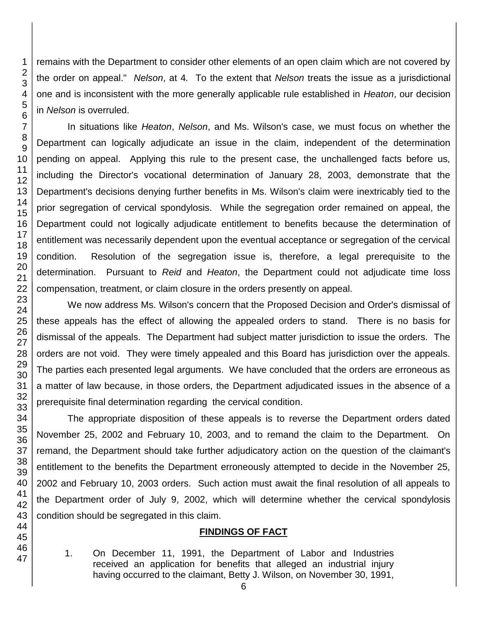remains with the Department to consider other elements of an open claim which are not covered by the order on appeal." *Nelson*, at 4*.* To the extent that *Nelson* treats the issue as a jurisdictional one and is inconsistent with the more generally applicable rule established in *Heaton*, our decision in *Nelson* is overruled. In situations like *Heaton*, *Nelson*, and Ms. Wilson's case, we must focus on whether the

Department can logically adjudicate an issue in the claim, independent of the determination pending on appeal. Applying this rule to the present case, the unchallenged facts before us, including the Director's vocational determination of January 28, 2003, demonstrate that the Department's decisions denying further benefits in Ms. Wilson's claim were inextricably tied to the prior segregation of cervical spondylosis. While the segregation order remained on appeal, the Department could not logically adjudicate entitlement to benefits because the determination of entitlement was necessarily dependent upon the eventual acceptance or segregation of the cervical condition. Resolution of the segregation issue is, therefore, a legal prerequisite to the determination. Pursuant to *Reid* and *Heaton*, the Department could not adjudicate time loss compensation, treatment, or claim closure in the orders presently on appeal.

We now address Ms. Wilson's concern that the Proposed Decision and Order's dismissal of these appeals has the effect of allowing the appealed orders to stand. There is no basis for dismissal of the appeals. The Department had subject matter jurisdiction to issue the orders. The orders are not void. They were timely appealed and this Board has jurisdiction over the appeals. The parties each presented legal arguments. We have concluded that the orders are erroneous as a matter of law because, in those orders, the Department adjudicated issues in the absence of a prerequisite final determination regarding the cervical condition.

The appropriate disposition of these appeals is to reverse the Department orders dated November 25, 2002 and February 10, 2003, and to remand the claim to the Department. On remand, the Department should take further adjudicatory action on the question of the claimant's entitlement to the benefits the Department erroneously attempted to decide in the November 25, 2002 and February 10, 2003 orders. Such action must await the final resolution of all appeals to the Department order of July 9, 2002, which will determine whether the cervical spondylosis condition should be segregated in this claim.

#### **FINDINGS OF FACT**

1. On December 11, 1991, the Department of Labor and Industries received an application for benefits that alleged an industrial injury having occurred to the claimant, Betty J. Wilson, on November 30, 1991,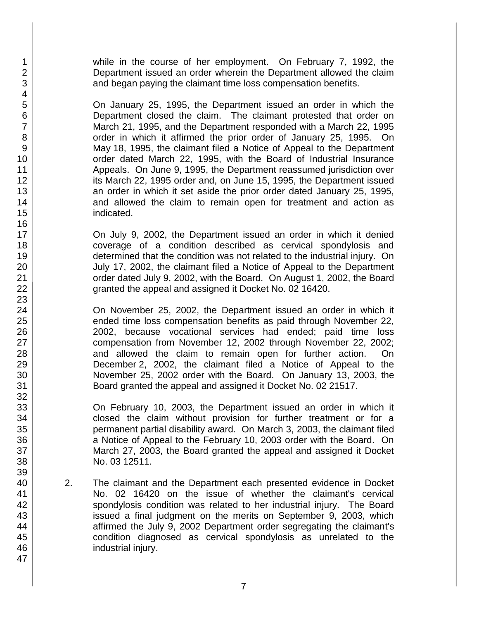while in the course of her employment. On February 7, 1992, the Department issued an order wherein the Department allowed the claim and began paying the claimant time loss compensation benefits.

On January 25, 1995, the Department issued an order in which the Department closed the claim. The claimant protested that order on March 21, 1995, and the Department responded with a March 22, 1995 order in which it affirmed the prior order of January 25, 1995. On May 18, 1995, the claimant filed a Notice of Appeal to the Department order dated March 22, 1995, with the Board of Industrial Insurance Appeals. On June 9, 1995, the Department reassumed jurisdiction over its March 22, 1995 order and, on June 15, 1995, the Department issued an order in which it set aside the prior order dated January 25, 1995, and allowed the claim to remain open for treatment and action as indicated.

On July 9, 2002, the Department issued an order in which it denied coverage of a condition described as cervical spondylosis and determined that the condition was not related to the industrial injury. On July 17, 2002, the claimant filed a Notice of Appeal to the Department order dated July 9, 2002, with the Board. On August 1, 2002, the Board granted the appeal and assigned it Docket No. 02 16420.

On November 25, 2002, the Department issued an order in which it ended time loss compensation benefits as paid through November 22, 2002, because vocational services had ended; paid time loss compensation from November 12, 2002 through November 22, 2002; and allowed the claim to remain open for further action. On December 2, 2002, the claimant filed a Notice of Appeal to the November 25, 2002 order with the Board. On January 13, 2003, the Board granted the appeal and assigned it Docket No. 02 21517.

On February 10, 2003, the Department issued an order in which it closed the claim without provision for further treatment or for a permanent partial disability award. On March 3, 2003, the claimant filed a Notice of Appeal to the February 10, 2003 order with the Board. On March 27, 2003, the Board granted the appeal and assigned it Docket No. 03 12511.

2. The claimant and the Department each presented evidence in Docket No. 02 16420 on the issue of whether the claimant's cervical spondylosis condition was related to her industrial injury. The Board issued a final judgment on the merits on September 9, 2003, which affirmed the July 9, 2002 Department order segregating the claimant's condition diagnosed as cervical spondylosis as unrelated to the industrial injury.

1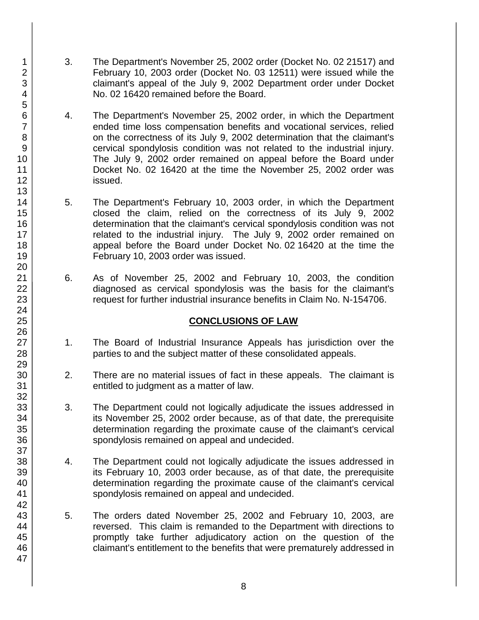- 3. The Department's November 25, 2002 order (Docket No. 02 21517) and February 10, 2003 order (Docket No. 03 12511) were issued while the claimant's appeal of the July 9, 2002 Department order under Docket No. 02 16420 remained before the Board.
- 4. The Department's November 25, 2002 order, in which the Department ended time loss compensation benefits and vocational services, relied on the correctness of its July 9, 2002 determination that the claimant's cervical spondylosis condition was not related to the industrial injury. The July 9, 2002 order remained on appeal before the Board under Docket No. 02 16420 at the time the November 25, 2002 order was issued.
- 5. The Department's February 10, 2003 order, in which the Department closed the claim, relied on the correctness of its July 9, 2002 determination that the claimant's cervical spondylosis condition was not related to the industrial injury. The July 9, 2002 order remained on appeal before the Board under Docket No. 02 16420 at the time the February 10, 2003 order was issued.
- 6. As of November 25, 2002 and February 10, 2003, the condition diagnosed as cervical spondylosis was the basis for the claimant's request for further industrial insurance benefits in Claim No. N-154706.

# **CONCLUSIONS OF LAW**

- 1. The Board of Industrial Insurance Appeals has jurisdiction over the parties to and the subject matter of these consolidated appeals.
- 2. There are no material issues of fact in these appeals. The claimant is entitled to judgment as a matter of law.
- 3. The Department could not logically adjudicate the issues addressed in its November 25, 2002 order because, as of that date, the prerequisite determination regarding the proximate cause of the claimant's cervical spondylosis remained on appeal and undecided.
- 4. The Department could not logically adjudicate the issues addressed in its February 10, 2003 order because, as of that date, the prerequisite determination regarding the proximate cause of the claimant's cervical spondylosis remained on appeal and undecided.
- 5. The orders dated November 25, 2002 and February 10, 2003, are reversed. This claim is remanded to the Department with directions to promptly take further adjudicatory action on the question of the claimant's entitlement to the benefits that were prematurely addressed in